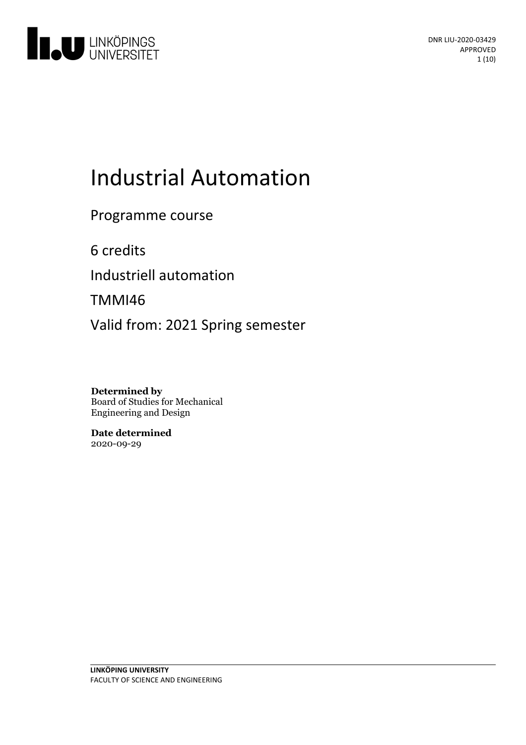

# Industrial Automation

Programme course

6 credits

Industriell automation

TMMI46

Valid from: 2021 Spring semester

**Determined by** Board of Studies for Mechanical Engineering and Design

**Date determined** 2020-09-29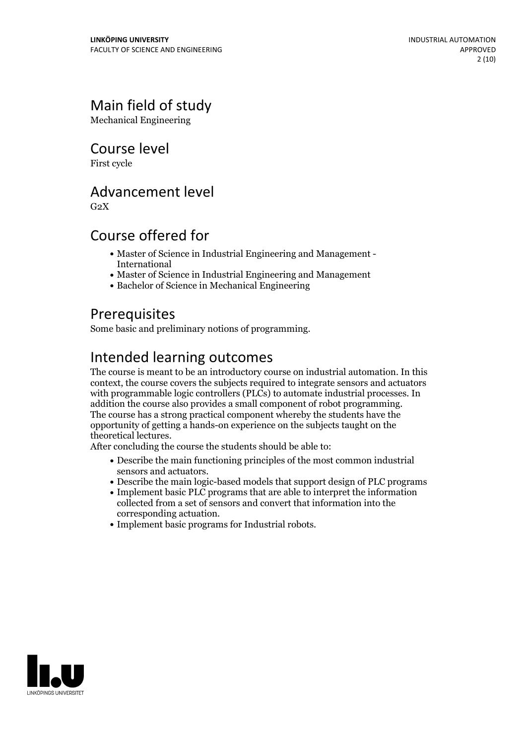# Main field of study

Mechanical Engineering

Course level

First cycle

# Advancement level

 $G<sub>2</sub>X$ 

# Course offered for

- Master of Science in Industrial Engineering and Management International
- Master of Science in Industrial Engineering and Management
- Bachelor of Science in Mechanical Engineering

# **Prerequisites**

Some basic and preliminary notions of programming.

# Intended learning outcomes

The course is meant to be an introductory course on industrial automation. In this context, the course covers the subjects required to integrate sensors and actuators with programmable logic controllers (PLCs) to automate industrial processes. In addition the course also provides <sup>a</sup> small component of robot programming. The course has <sup>a</sup> strong practical component whereby the students have the opportunity of getting a hands-on experience on the subjects taught on the

After concluding the course the students should be able to:

- Describe the main functioning principles of the most common industrial sensors and actuators.
- Describe the main logic-based models that support design of PLC programs
- Implement basic PLC programs that are able to interpret the information collected from a set of sensors and convert that information into the corresponding actuation.<br>• Implement basic programs for Industrial robots.
- 

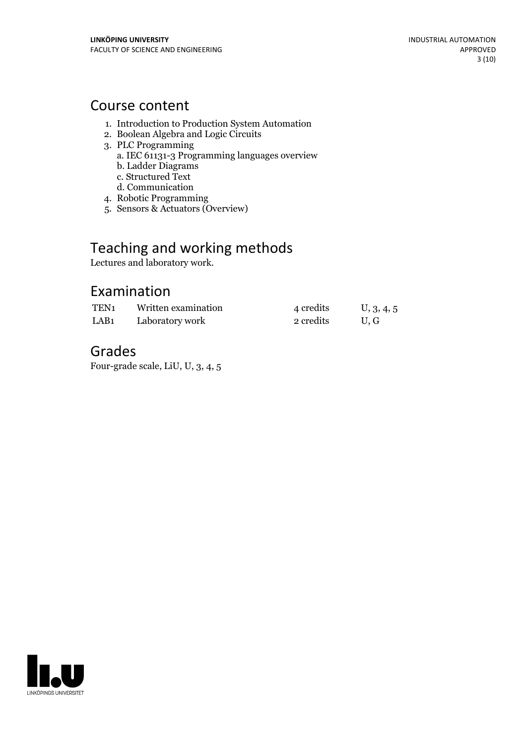## Course content

- 1. Introduction to Production System Automation
- 2. Boolean Algebra and Logic Circuits
- 3. PLC Programming
	- a. IEC 61131-3 Programming languages overview
	- b. Ladder Diagrams
	- c. Structured Text
	- d. Communication
- 4. Robotic Programming
- 5. Sensors & Actuators (Overview)

# Teaching and working methods

Lectures and laboratory work.

# Examination

| TEN <sub>1</sub> | Written examination | 4 credits | U, 3, 4, 5 |
|------------------|---------------------|-----------|------------|
| LAB <sub>1</sub> | Laboratory work     | 2 credits | U.G        |

# Grades

Four-grade scale, LiU, U, 3, 4, 5

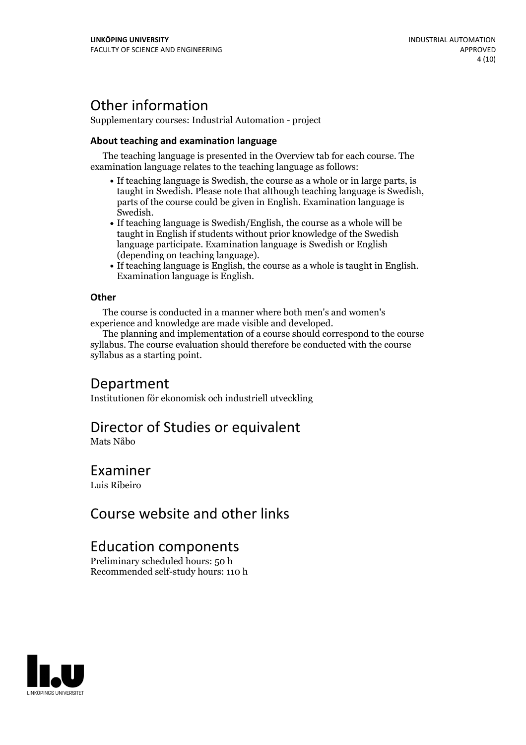# Other information

Supplementary courses: Industrial Automation - project

### **About teaching and examination language**

The teaching language is presented in the Overview tab for each course. The examination language relates to the teaching language as follows:

- If teaching language is Swedish, the course as a whole or in large parts, is taught in Swedish. Please note that although teaching language is Swedish, parts of the course could be given in English. Examination language is Swedish.<br>• If teaching language is Swedish/English, the course as a whole will be
- taught in English if students without prior knowledge of the Swedish language participate. Examination language is Swedish or English
- (depending on teaching language).<br>• If teaching language is English, the course as a whole is taught in English.<br>Examination language is English.

### **Other**

The course is conducted in a manner where both men's and women's experience and knowledge are made visible and developed.

The planning and implementation of a course should correspond to the course syllabus. The course evaluation should therefore be conducted with the course syllabus as a starting point.

## Department

Institutionen för ekonomisk och industriell utveckling

## Director of Studies or equivalent

Mats Nåbo

### Examiner

Luis Ribeiro

## Course website and other links

### Education components

Preliminary scheduled hours: 50 h Recommended self-study hours: 110 h

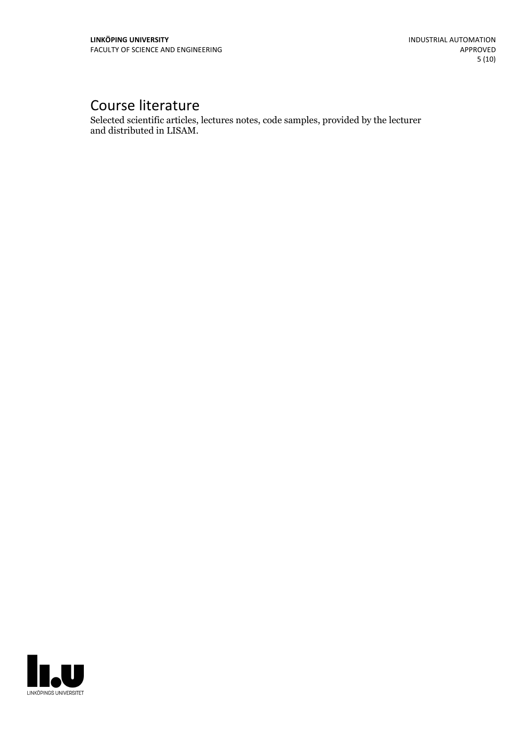# Course literature

Selected scientific articles, lectures notes, code samples, provided by the lecturer and distributed in LISAM.

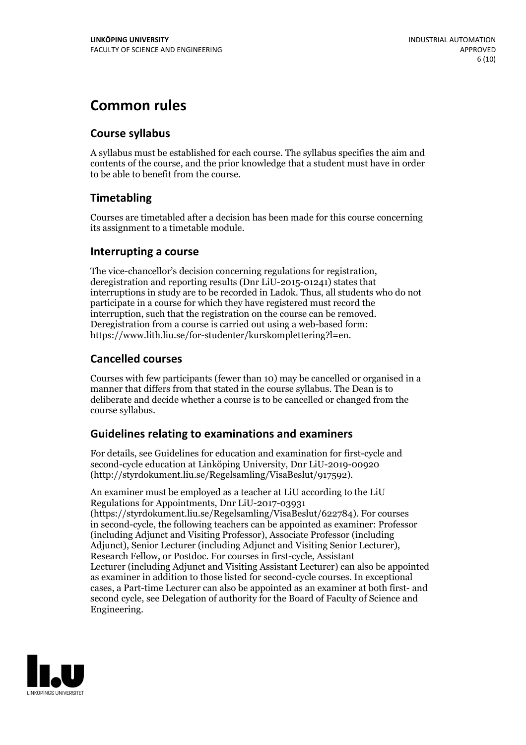# **Common rules**

### **Course syllabus**

A syllabus must be established for each course. The syllabus specifies the aim and contents of the course, and the prior knowledge that a student must have in order to be able to benefit from the course.

### **Timetabling**

Courses are timetabled after a decision has been made for this course concerning its assignment to a timetable module.

### **Interrupting a course**

The vice-chancellor's decision concerning regulations for registration, deregistration and reporting results (Dnr LiU-2015-01241) states that interruptions in study are to be recorded in Ladok. Thus, all students who do not participate in a course for which they have registered must record the interruption, such that the registration on the course can be removed. Deregistration from <sup>a</sup> course is carried outusing <sup>a</sup> web-based form: https://www.lith.liu.se/for-studenter/kurskomplettering?l=en.

### **Cancelled courses**

Courses with few participants (fewer than 10) may be cancelled or organised in a manner that differs from that stated in the course syllabus. The Dean is to deliberate and decide whether a course is to be cancelled or changed from the course syllabus.

### **Guidelines relatingto examinations and examiners**

For details, see Guidelines for education and examination for first-cycle and second-cycle education at Linköping University, Dnr LiU-2019-00920 (http://styrdokument.liu.se/Regelsamling/VisaBeslut/917592).

An examiner must be employed as a teacher at LiU according to the LiU Regulations for Appointments, Dnr LiU-2017-03931 (https://styrdokument.liu.se/Regelsamling/VisaBeslut/622784). For courses in second-cycle, the following teachers can be appointed as examiner: Professor (including Adjunct and Visiting Professor), Associate Professor (including Adjunct), Senior Lecturer (including Adjunct and Visiting Senior Lecturer), Research Fellow, or Postdoc. For courses in first-cycle, Assistant Lecturer (including Adjunct and Visiting Assistant Lecturer) can also be appointed as examiner in addition to those listed for second-cycle courses. In exceptional cases, a Part-time Lecturer can also be appointed as an examiner at both first- and second cycle, see Delegation of authority for the Board of Faculty of Science and Engineering.

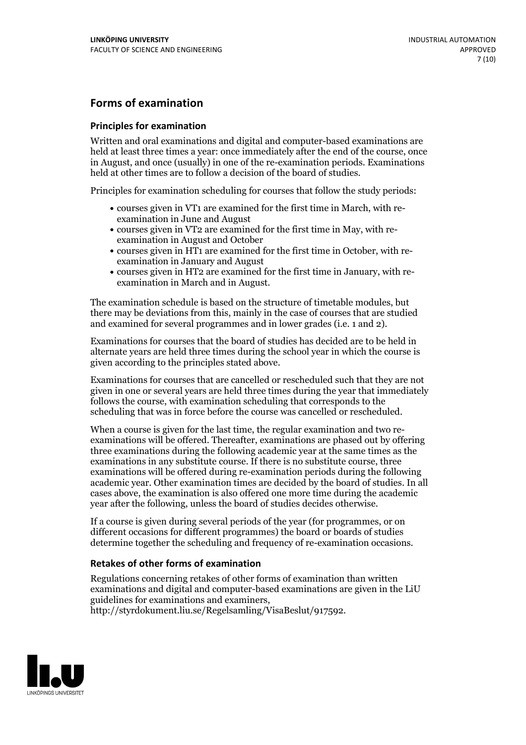### **Forms of examination**

#### **Principles for examination**

Written and oral examinations and digital and computer-based examinations are held at least three times a year: once immediately after the end of the course, once in August, and once (usually) in one of the re-examination periods. Examinations held at other times are to follow a decision of the board of studies.

Principles for examination scheduling for courses that follow the study periods:

- courses given in VT1 are examined for the first time in March, with re-examination in June and August
- courses given in VT2 are examined for the first time in May, with re-examination in August and October
- courses given in HT1 are examined for the first time in October, with re-examination in January and August
- courses given in HT2 are examined for the first time in January, with re-examination in March and in August.

The examination schedule is based on the structure of timetable modules, but there may be deviations from this, mainly in the case of courses that are studied and examined for several programmes and in lower grades (i.e. 1 and 2).

Examinations for courses that the board of studies has decided are to be held in alternate years are held three times during the school year in which the course is given according to the principles stated above.

Examinations for courses that are cancelled orrescheduled such that they are not given in one or several years are held three times during the year that immediately follows the course, with examination scheduling that corresponds to the scheduling that was in force before the course was cancelled or rescheduled.

When a course is given for the last time, the regular examination and two re-<br>examinations will be offered. Thereafter, examinations are phased out by offering three examinations during the following academic year at the same times as the examinations in any substitute course. If there is no substitute course, three examinations will be offered during re-examination periods during the following academic year. Other examination times are decided by the board of studies. In all cases above, the examination is also offered one more time during the academic year after the following, unless the board of studies decides otherwise.

If a course is given during several periods of the year (for programmes, or on different occasions for different programmes) the board or boards of studies determine together the scheduling and frequency of re-examination occasions.

### **Retakes of other forms of examination**

Regulations concerning retakes of other forms of examination than written examinations and digital and computer-based examinations are given in the LiU guidelines for examinations and examiners, http://styrdokument.liu.se/Regelsamling/VisaBeslut/917592.

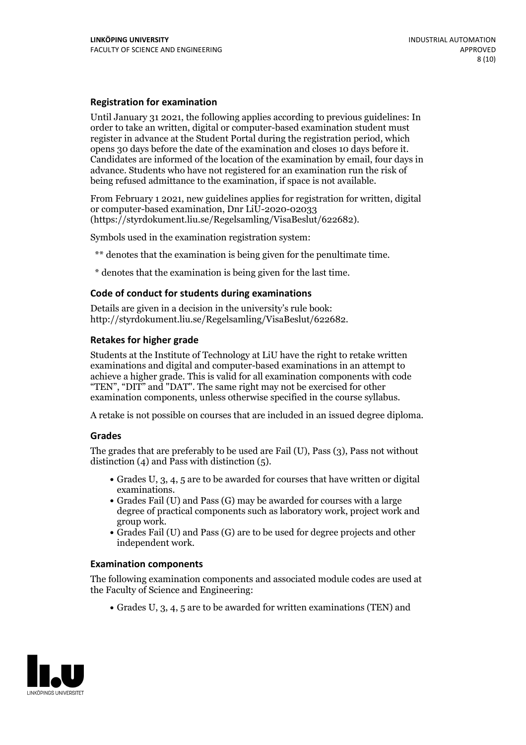#### **Registration for examination**

Until January 31 2021, the following applies according to previous guidelines: In order to take an written, digital or computer-based examination student must register in advance at the Student Portal during the registration period, which Candidates are informed of the location of the examination by email, four days in advance. Students who have not registered for an examination run the risk of being refused admittance to the examination, if space is not available.

From February 1 2021, new guidelines applies for registration for written, digital or computer-based examination, Dnr LiU-2020-02033 (https://styrdokument.liu.se/Regelsamling/VisaBeslut/622682).

Symbols used in the examination registration system:

\*\* denotes that the examination is being given for the penultimate time.

\* denotes that the examination is being given for the last time.

#### **Code of conduct for students during examinations**

Details are given in a decision in the university's rule book: http://styrdokument.liu.se/Regelsamling/VisaBeslut/622682.

### **Retakes for higher grade**

Students at the Institute of Technology at LiU have the right to retake written examinations and digital and computer-based examinations in an attempt to achieve a higher grade. This is valid for all examination components with code "TEN", "DIT" and "DAT". The same right may not be exercised for other examination components, unless otherwise specified in the course syllabus.

A retake is not possible on courses that are included in an issued degree diploma.

#### **Grades**

The grades that are preferably to be used are Fail (U), Pass (3), Pass not without distinction  $(4)$  and Pass with distinction  $(5)$ .

- Grades U, 3, 4, 5 are to be awarded for courses that have written or digital examinations.<br>• Grades Fail (U) and Pass (G) may be awarded for courses with a large
- degree of practical components such as laboratory work, project work and
- $\bullet$  Grades Fail (U) and Pass (G) are to be used for degree projects and other independent work.

#### **Examination components**

The following examination components and associated module codes are used at the Faculty of Science and Engineering:

Grades U, 3, 4, 5 are to be awarded for written examinations (TEN) and

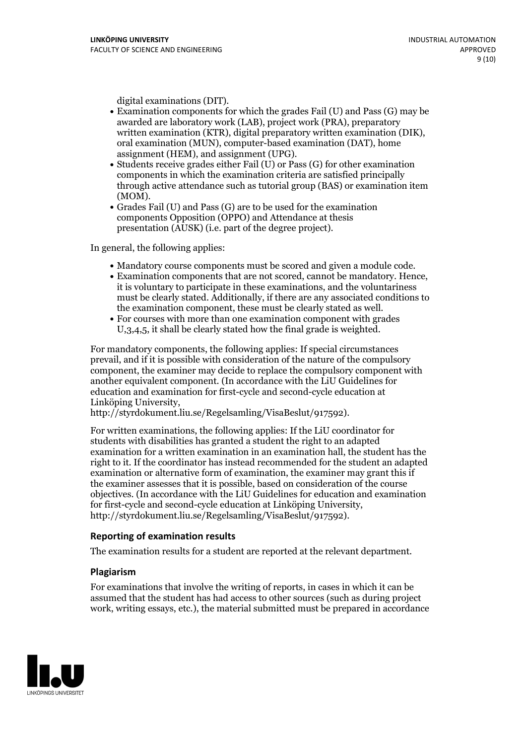- digital examinations (DIT).<br>• Examination components for which the grades Fail (U) and Pass (G) may be awarded are laboratory work (LAB), project work (PRA), preparatory written examination (KTR), digital preparatory written examination (DIK), oral examination (MUN), computer-based examination (DAT), home
- assignment (HEM), and assignment (UPG).<br>• Students receive grades either Fail (U) or Pass (G) for other examination components in which the examination criteria are satisfied principally through active attendance such as tutorial group (BAS) or examination item
- (MOM).<br>• Grades Fail (U) and Pass (G) are to be used for the examination components Opposition (OPPO) and Attendance at thesis presentation (AUSK) (i.e. part of the degree project).

In general, the following applies:

- 
- Mandatory course components must be scored and given <sup>a</sup> module code. Examination components that are not scored, cannot be mandatory. Hence, it is voluntary to participate in these examinations, and the voluntariness must be clearly stated. Additionally, if there are any associated conditions to the examination component, these must be clearly stated as well.<br>• For courses with more than one examination component with grades
- U,3,4,5, it shall be clearly stated how the final grade is weighted.

For mandatory components, the following applies: If special circumstances prevail, and if it is possible with consideration of the nature ofthe compulsory component, the examiner may decide to replace the compulsory component with another equivalent component. (In accordance with the LiU Guidelines for education and examination for first-cycle and second-cycle education at Linköping University, http://styrdokument.liu.se/Regelsamling/VisaBeslut/917592).

For written examinations, the following applies: If the LiU coordinator for students with disabilities has granted a student the right to an adapted examination for a written examination in an examination hall, the student has the right to it. If the coordinator has instead recommended for the student an adapted examination or alternative form of examination, the examiner may grant this if the examiner assesses that it is possible, based on consideration of the course objectives. (In accordance with the LiU Guidelines for education and examination for first-cycle and second-cycle education at Linköping University, http://styrdokument.liu.se/Regelsamling/VisaBeslut/917592).

#### **Reporting of examination results**

The examination results for a student are reported at the relevant department.

#### **Plagiarism**

For examinations that involve the writing of reports, in cases in which it can be assumed that the student has had access to other sources (such as during project work, writing essays, etc.), the material submitted must be prepared in accordance